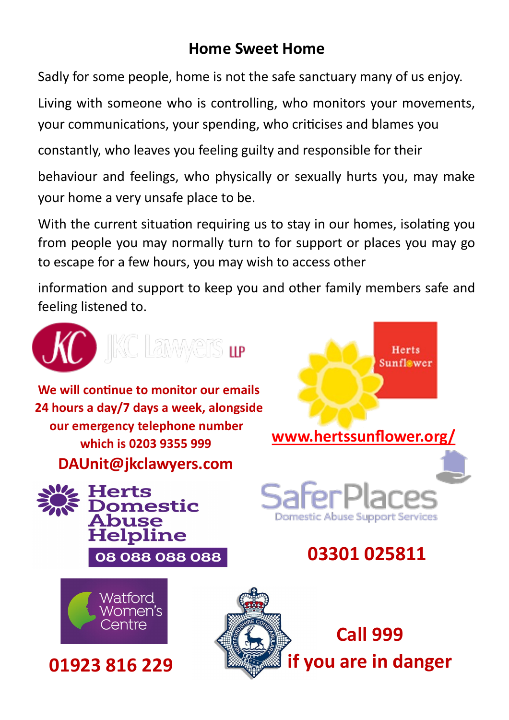### **Home Sweet Home**

Sadly for some people, home is not the safe sanctuary many of us enjoy.

Living with someone who is controlling, who monitors your movements, your communications, your spending, who criticises and blames you

constantly, who leaves you feeling guilty and responsible for their

behaviour and feelings, who physically or sexually hurts you, may make your home a very unsafe place to be.

With the current situation requiring us to stay in our homes, isolating you from people you may normally turn to for support or places you may go to escape for a few hours, you may wish to access other

information and support to keep you and other family members safe and feeling listened to.



ШP

**We will continue to monitor our emails 24 hours a day/7 days a week, alongside our emergency telephone number which is 0203 9355 999 DAUnit@jkclawyers.com**





**01923 816 229**



**03301 025811** 

Domestic Abuse Support Services

**[www.hertssunflower.org/](https://www.hertssunflower.org/)**

Herts

**Sunflower**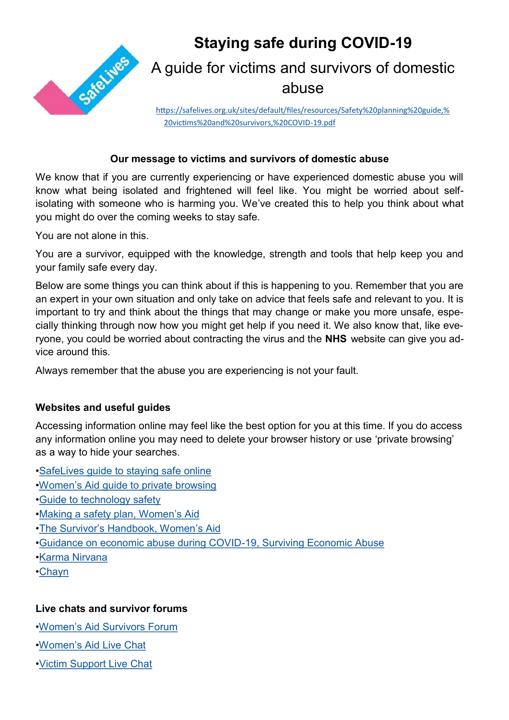

## **Staying safe during COVID-19**  A guide for victims and survivors of domestic abuse

[https://safelives.org.uk/sites/default/files/resources/Safety%20planning%20guide,%](file:///C:/Users/Denise/Documents/Governor Induction Pack 2018_19) [20victims%20and%20survivors,%20COVID](file:///C:/Users/Denise/Documents/Governor Induction Pack 2018_19)-19.pdf

#### **Our message to victims and survivors of domestic abuse**

We know that if you are currently experiencing or have experienced domestic abuse you will know what being isolated and frightened will feel like. You might be worried about selfisolating with someone who is harming you. We've created this to help you think about what you might do over the coming weeks to stay safe.

You are not alone in this.

You are a survivor, equipped with the knowledge, strength and tools that help keep you and your family safe every day.

Below are some things you can think about if this is happening to you. Remember that you are an expert in your own situation and only take on advice that feels safe and relevant to you. It is important to try and think about the things that may change or make you more unsafe, especially thinking through now how you might get help if you need it. We also know that, like everyone, you could be worried about contracting the virus and the **NHS** website can give you advice around this.

Always remember that the abuse you are experiencing is not your fault.

#### **Websites and useful guides**

Accessing information online may feel like the best option for you at this time. If you do access any information online you may need to delete your browser history or use 'private browsing' as a way to hide your searches.

•[SafeLives guide to staying safe online](https://safelives.org.uk/sites/default/files/resources/Staying%20safe%20online%20guide.pdf)

- •Women'[s Aid guide to private browsing](https://www.womensaid.org.uk/the-survivors-handbook/making-a-safety-plan/)
- •[Guide to technology safety](https://www.techsafety.org/resources-survivors)
- •[Making a safety plan, Women](https://www.womensaid.org.uk/the-survivors-handbook/making-a-safety-plan/)'s Aid
- •The Survivor'[s Handbook, Women](https://www.womensaid.org.uk/the-survivors-handbook/making-a-safety-plan/)'s Aid
- •[Guidance on economic abuse during COVID](https://survivingeconomicabuse.org/resources/)-19, Surviving Economic Abuse
- •[Karma Nirvana](https://karmanirvana.org.uk/)
- •[Chayn](https://chayn.co/)

#### **Live chats and survivor forums**

- •Women'[s Aid Survivors Forum](https://survivorsforum.womensaid.org.uk/)
- •Women'[s Aid Live Chat](https://chat.womensaid.org.uk/)
- •[Victim Support Live Chat](https://www.victimsupport.org.uk/help-and-support/get-help/support-near-you/live-chat)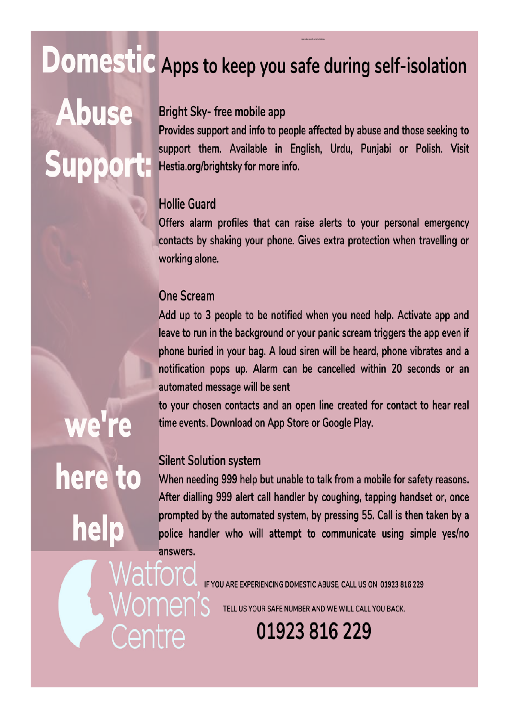# Domestic Apps to keep you safe during self-isolation

# **Abuse Suppor**

### Bright Sky- free mobile app

Provides support and info to people affected by abuse and those seeking to support them. Available in English, Urdu, Punjabi or Polish. Visit Hestia.org/brightsky for more info.

#### **Hollie Guard**

Offers alarm profiles that can raise alerts to your personal emergency contacts by shaking your phone. Gives extra protection when travelling or working alone.

#### **One Scream**

Add up to 3 people to be notified when you need help. Activate app and leave to run in the background or your panic scream triggers the app even if phone buried in your bag. A loud siren will be heard, phone vibrates and a notification pops up. Alarm can be cancelled within 20 seconds or an automated message will be sent

to your chosen contacts and an open line created for contact to hear real time events. Download on App Store or Google Play.

#### **Silent Solution system**

Natford

Centre

men's

When needing 999 help but unable to talk from a mobile for safety reasons. After dialling 999 alert call handler by coughing, tapping handset or, once prompted by the automated system, by pressing 55. Call is then taken by a police handler who will attempt to communicate using simple yes/no answers.

IF YOU ARE EXPERIENCING DOMESTIC ABUSE, CALL US ON 01923 816 229

TELL US YOUR SAFE NUMBER AND WE WILL CALL YOU BACK.

01923 816 229

# we're here to help